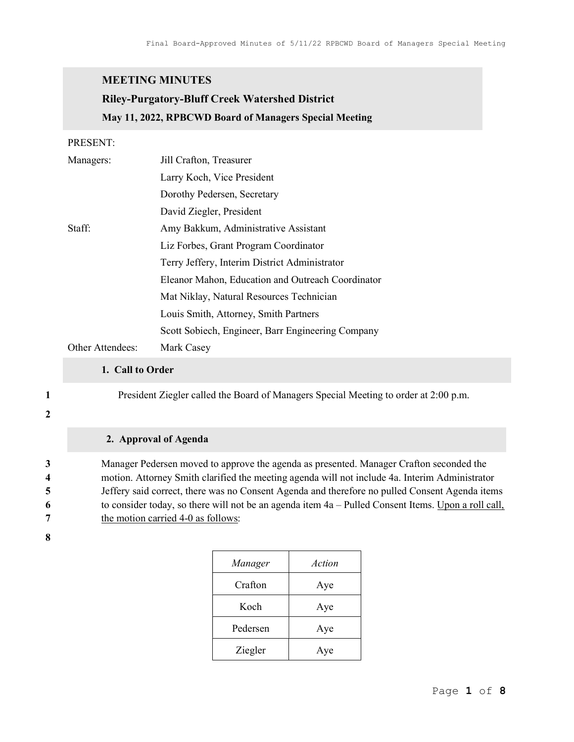# MEETING MINUTES

# Riley-Purgatory-Bluff Creek Watershed District May 11, 2022, RPBCWD Board of Managers Special Meeting

### PRESENT:

| Managers:        | Jill Crafton, Treasurer                           |
|------------------|---------------------------------------------------|
|                  | Larry Koch, Vice President                        |
|                  | Dorothy Pedersen, Secretary                       |
|                  | David Ziegler, President                          |
| Staff:           | Amy Bakkum, Administrative Assistant              |
|                  | Liz Forbes, Grant Program Coordinator             |
|                  | Terry Jeffery, Interim District Administrator     |
|                  | Eleanor Mahon, Education and Outreach Coordinator |
|                  | Mat Niklay, Natural Resources Technician          |
|                  | Louis Smith, Attorney, Smith Partners             |
|                  | Scott Sobiech, Engineer, Barr Engineering Company |
| Other Attendees: | Mark Casey                                        |

#### 1. Call to Order

1 President Ziegler called the Board of Managers Special Meeting to order at 2:00 p.m.

#### 2

## 2. Approval of Agenda

Manager Pedersen moved to approve the agenda as presented. Manager Crafton seconded the motion. Attorney Smith clarified the meeting agenda will not include 4a. Interim Administrator Jeffery said correct, there was no Consent Agenda and therefore no pulled Consent Agenda items to consider today, so there will not be an agenda item 4a – Pulled Consent Items. Upon a roll call, 7 the motion carried 4-0 as follows:

#### 8

| Manager  | Action |
|----------|--------|
| Crafton  | Aye    |
| Koch     | Aye    |
| Pedersen | Aye    |
| Ziegler  | Aye    |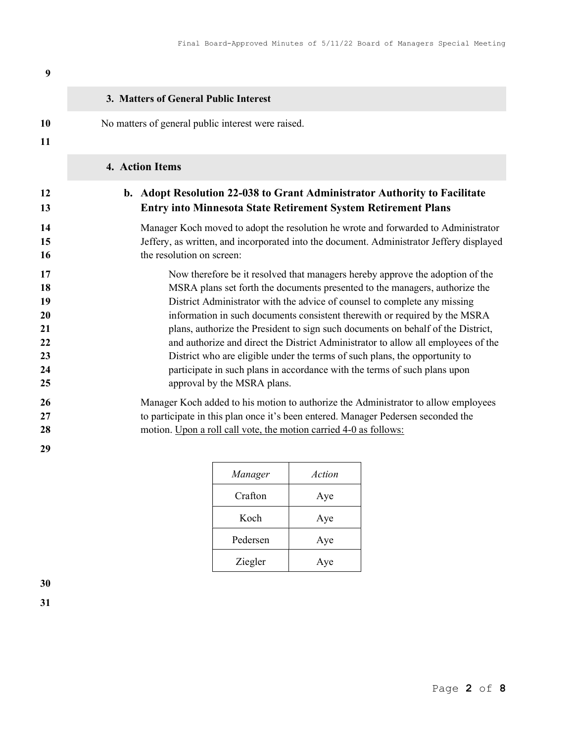| 9        |                                                                                          |
|----------|------------------------------------------------------------------------------------------|
|          | 3. Matters of General Public Interest                                                    |
| 10<br>11 | No matters of general public interest were raised.                                       |
|          | 4. Action Items                                                                          |
| 12       | b. Adopt Resolution 22-038 to Grant Administrator Authority to Facilitate                |
| 13       | <b>Entry into Minnesota State Retirement System Retirement Plans</b>                     |
| 14       | Manager Koch moved to adopt the resolution he wrote and forwarded to Administrator       |
| 15       | Jeffery, as written, and incorporated into the document. Administrator Jeffery displayed |
| 16       | the resolution on screen:                                                                |
| 17       | Now therefore be it resolved that managers hereby approve the adoption of the            |
| 18       | MSRA plans set forth the documents presented to the managers, authorize the              |
| 19       | District Administrator with the advice of counsel to complete any missing                |
| 20       | information in such documents consistent therewith or required by the MSRA               |
| 21       | plans, authorize the President to sign such documents on behalf of the District,         |
| 22       | and authorize and direct the District Administrator to allow all employees of the        |
| 23       | District who are eligible under the terms of such plans, the opportunity to              |
| 24       | participate in such plans in accordance with the terms of such plans upon                |
| 25       | approval by the MSRA plans.                                                              |
| 26       | Manager Koch added to his motion to authorize the Administrator to allow employees       |
| 27       | to participate in this plan once it's been entered. Manager Pedersen seconded the        |

28 motion. Upon a roll call vote, the motion carried 4-0 as follows:

29

| Manager  | Action |
|----------|--------|
| Crafton  | Aye    |
| Koch     | Aye    |
| Pedersen | Aye    |
| Ziegler  | Aye    |

30 31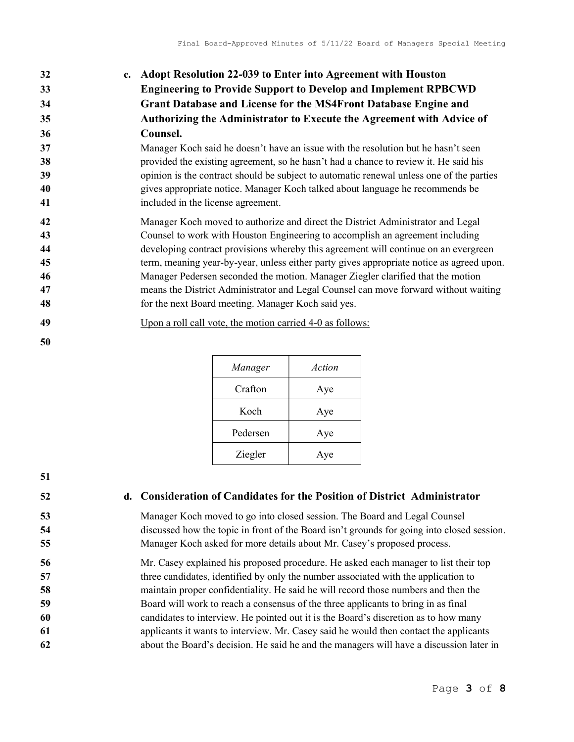| 32 | c. Adopt Resolution 22-039 to Enter into Agreement with Houston        |
|----|------------------------------------------------------------------------|
| 33 | <b>Engineering to Provide Support to Develop and Implement RPBCWD</b>  |
| 34 | <b>Grant Database and License for the MS4Front Database Engine and</b> |
| 35 | Authorizing the Administrator to Execute the Agreement with Advice of  |
| 36 | Counsel.                                                               |

Manager Koch said he doesn't have an issue with the resolution but he hasn't seen **38** provided the existing agreement, so he hasn't had a chance to review it. He said his opinion is the contract should be subject to automatic renewal unless one of the parties gives appropriate notice. Manager Koch talked about language he recommends be included in the license agreement.

Manager Koch moved to authorize and direct the District Administrator and Legal Counsel to work with Houston Engineering to accomplish an agreement including developing contract provisions whereby this agreement will continue on an evergreen term, meaning year-by-year, unless either party gives appropriate notice as agreed upon. Manager Pedersen seconded the motion. Manager Ziegler clarified that the motion means the District Administrator and Legal Counsel can move forward without waiting for the next Board meeting. Manager Koch said yes.

- Upon a roll call vote, the motion carried 4-0 as follows:
- 

| Manager  | Action |
|----------|--------|
| Crafton  | Aye    |
| Koch     | Aye    |
| Pedersen | Aye    |
| Ziegler  | Aye    |

# 52 d. Consideration of Candidates for the Position of District Administrator

Manager Koch moved to go into closed session. The Board and Legal Counsel discussed how the topic in front of the Board isn't grounds for going into closed session. Manager Koch asked for more details about Mr. Casey's proposed process.

Mr. Casey explained his proposed procedure. He asked each manager to list their top 57 three candidates, identified by only the number associated with the application to maintain proper confidentiality. He said he will record those numbers and then the Board will work to reach a consensus of the three applicants to bring in as final candidates to interview. He pointed out it is the Board's discretion as to how many applicants it wants to interview. Mr. Casey said he would then contact the applicants about the Board's decision. He said he and the managers will have a discussion later in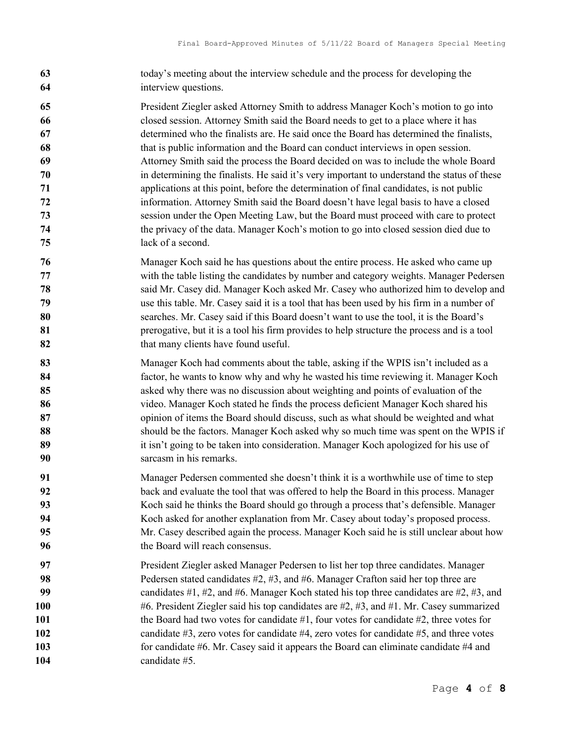- today's meeting about the interview schedule and the process for developing the interview questions.
- President Ziegler asked Attorney Smith to address Manager Koch's motion to go into closed session. Attorney Smith said the Board needs to get to a place where it has determined who the finalists are. He said once the Board has determined the finalists, that is public information and the Board can conduct interviews in open session. Attorney Smith said the process the Board decided on was to include the whole Board in determining the finalists. He said it's very important to understand the status of these applications at this point, before the determination of final candidates, is not public information. Attorney Smith said the Board doesn't have legal basis to have a closed session under the Open Meeting Law, but the Board must proceed with care to protect the privacy of the data. Manager Koch's motion to go into closed session died due to lack of a second.
- Manager Koch said he has questions about the entire process. He asked who came up with the table listing the candidates by number and category weights. Manager Pedersen said Mr. Casey did. Manager Koch asked Mr. Casey who authorized him to develop and use this table. Mr. Casey said it is a tool that has been used by his firm in a number of searches. Mr. Casey said if this Board doesn't want to use the tool, it is the Board's **81** prerogative, but it is a tool his firm provides to help structure the process and is a tool 82 that many clients have found useful.
- 83 Manager Koch had comments about the table, asking if the WPIS isn't included as a factor, he wants to know why and why he wasted his time reviewing it. Manager Koch asked why there was no discussion about weighting and points of evaluation of the video. Manager Koch stated he finds the process deficient Manager Koch shared his 87 opinion of items the Board should discuss, such as what should be weighted and what should be the factors. Manager Koch asked why so much time was spent on the WPIS if 89 it isn't going to be taken into consideration. Manager Koch apologized for his use of sarcasm in his remarks.
- Manager Pedersen commented she doesn't think it is a worthwhile use of time to step back and evaluate the tool that was offered to help the Board in this process. Manager Koch said he thinks the Board should go through a process that's defensible. Manager Koch asked for another explanation from Mr. Casey about today's proposed process. Mr. Casey described again the process. Manager Koch said he is still unclear about how 96 the Board will reach consensus.
- President Ziegler asked Manager Pedersen to list her top three candidates. Manager 98 Pedersen stated candidates #2, #3, and #6. Manager Crafton said her top three are 99 candidates #1, #2, and #6. Manager Koch stated his top three candidates are #2, #3, and #6. President Ziegler said his top candidates are #2, #3, and #1. Mr. Casey summarized 101 the Board had two votes for candidate #1, four votes for candidate #2, three votes for 102 candidate #3, zero votes for candidate #4, zero votes for candidate #5, and three votes 103 for candidate #6. Mr. Casey said it appears the Board can eliminate candidate #4 and 104 candidate #5.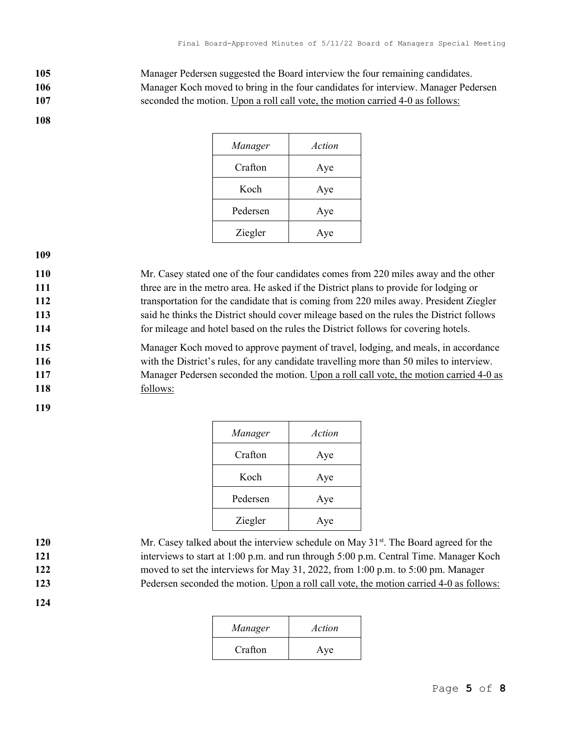105 Manager Pedersen suggested the Board interview the four remaining candidates. 106 Manager Koch moved to bring in the four candidates for interview. Manager Pedersen

107 seconded the motion. Upon a roll call vote, the motion carried 4-0 as follows:

108

| Manager  | Action |
|----------|--------|
| Crafton  | Aye    |
| Koch     | Aye    |
| Pedersen | Aye    |
| Ziegler  | Aye    |

109

Mr. Casey stated one of the four candidates comes from 220 miles away and the other 111 three are in the metro area. He asked if the District plans to provide for lodging or transportation for the candidate that is coming from 220 miles away. President Ziegler said he thinks the District should cover mileage based on the rules the District follows for mileage and hotel based on the rules the District follows for covering hotels.

Manager Koch moved to approve payment of travel, lodging, and meals, in accordance with the District's rules, for any candidate travelling more than 50 miles to interview. Manager Pedersen seconded the motion. Upon a roll call vote, the motion carried 4-0 as 118 follows:

119

| Manager  | Action |
|----------|--------|
| Crafton  | Aye    |
| Koch     | Aye    |
| Pedersen | Aye    |
| Ziegler  | Aye    |

120 **120** Mr. Casey talked about the interview schedule on May  $31<sup>st</sup>$ . The Board agreed for the

- 
- - 124

| .   | This cape, announced about the modifiem beheavier on they be a fine Bound agreed for the |
|-----|------------------------------------------------------------------------------------------|
| 121 | interviews to start at 1:00 p.m. and run through 5:00 p.m. Central Time. Manager Koch    |
| 122 | moved to set the interviews for May 31, 2022, from 1:00 p.m. to 5:00 pm. Manager         |
| 123 | Pedersen seconded the motion. Upon a roll call vote, the motion carried 4-0 as follows:  |
|     |                                                                                          |

| Manager | Action |
|---------|--------|
| Crafton | Aye    |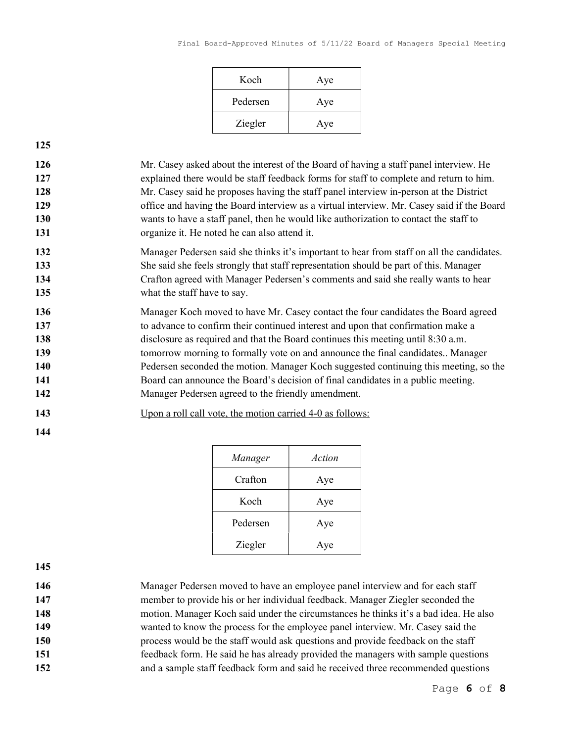| Koch     | Aye |
|----------|-----|
| Pedersen | Aye |
| Ziegler  | Aye |

125

Mr. Casey asked about the interest of the Board of having a staff panel interview. He explained there would be staff feedback forms for staff to complete and return to him. Mr. Casey said he proposes having the staff panel interview in-person at the District office and having the Board interview as a virtual interview. Mr. Casey said if the Board wants to have a staff panel, then he would like authorization to contact the staff to 131 organize it. He noted he can also attend it.

- 132 Manager Pedersen said she thinks it's important to hear from staff on all the candidates. 133 She said she feels strongly that staff representation should be part of this. Manager 134 Crafton agreed with Manager Pedersen's comments and said she really wants to hear 135 what the staff have to say.
- 136 Manager Koch moved to have Mr. Casey contact the four candidates the Board agreed 137 to advance to confirm their continued interest and upon that confirmation make a 138 disclosure as required and that the Board continues this meeting until 8:30 a.m. 139 tomorrow morning to formally vote on and announce the final candidates.. Manager 140 Pedersen seconded the motion. Manager Koch suggested continuing this meeting, so the 141 Board can announce the Board's decision of final candidates in a public meeting. 142 Manager Pedersen agreed to the friendly amendment.
- 143 Upon a roll call vote, the motion carried 4-0 as follows:
- 144

| Manager  | Action |
|----------|--------|
| Crafton  | Aye    |
| Koch     | Aye    |
| Pedersen | Aye    |
| Ziegler  | Aye    |

- 145
- 146 Manager Pedersen moved to have an employee panel interview and for each staff 147 member to provide his or her individual feedback. Manager Ziegler seconded the
- 148 motion. Manager Koch said under the circumstances he thinks it's a bad idea. He also
- 149 wanted to know the process for the employee panel interview. Mr. Casey said the
- 150 process would be the staff would ask questions and provide feedback on the staff
- 151 feedback form. He said he has already provided the managers with sample questions 152 and a sample staff feedback form and said he received three recommended questions
	- Page 6 of 8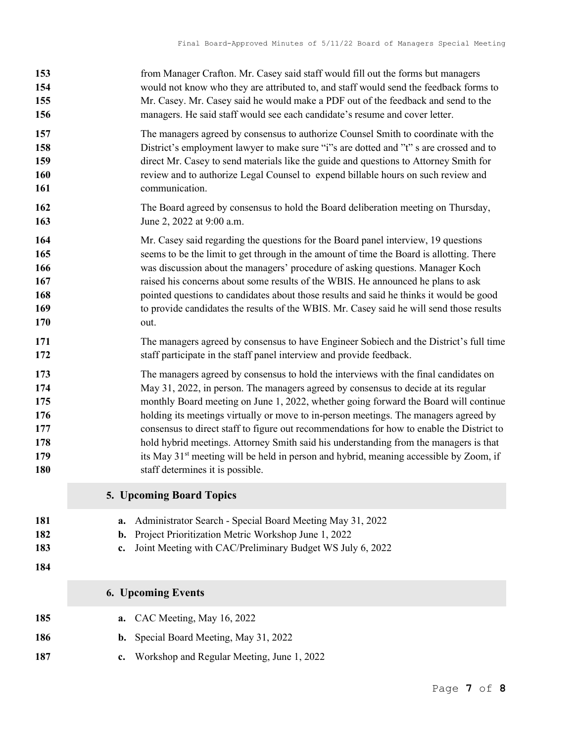| 153                      | from Manager Crafton. Mr. Casey said staff would fill out the forms but managers                                                                                                                |
|--------------------------|-------------------------------------------------------------------------------------------------------------------------------------------------------------------------------------------------|
| 154                      | would not know who they are attributed to, and staff would send the feedback forms to                                                                                                           |
| 155                      | Mr. Casey. Mr. Casey said he would make a PDF out of the feedback and send to the                                                                                                               |
| 156                      | managers. He said staff would see each candidate's resume and cover letter.                                                                                                                     |
| 157                      | The managers agreed by consensus to authorize Counsel Smith to coordinate with the                                                                                                              |
| 158                      | District's employment lawyer to make sure "i"s are dotted and "t" s are crossed and to                                                                                                          |
| 159                      | direct Mr. Casey to send materials like the guide and questions to Attorney Smith for                                                                                                           |
| 160                      | review and to authorize Legal Counsel to expend billable hours on such review and                                                                                                               |
| 161                      | communication.                                                                                                                                                                                  |
| 162                      | The Board agreed by consensus to hold the Board deliberation meeting on Thursday,                                                                                                               |
| 163                      | June 2, 2022 at 9:00 a.m.                                                                                                                                                                       |
| 164                      | Mr. Casey said regarding the questions for the Board panel interview, 19 questions                                                                                                              |
| 165                      | seems to be the limit to get through in the amount of time the Board is allotting. There                                                                                                        |
| 166                      | was discussion about the managers' procedure of asking questions. Manager Koch                                                                                                                  |
| 167                      | raised his concerns about some results of the WBIS. He announced he plans to ask                                                                                                                |
| 168                      | pointed questions to candidates about those results and said he thinks it would be good                                                                                                         |
| 169                      | to provide candidates the results of the WBIS. Mr. Casey said he will send those results                                                                                                        |
| 170                      | out.                                                                                                                                                                                            |
| 171                      | The managers agreed by consensus to have Engineer Sobiech and the District's full time                                                                                                          |
| 172                      | staff participate in the staff panel interview and provide feedback.                                                                                                                            |
| 173                      | The managers agreed by consensus to hold the interviews with the final candidates on                                                                                                            |
| 174                      | May 31, 2022, in person. The managers agreed by consensus to decide at its regular                                                                                                              |
| 175                      | monthly Board meeting on June 1, 2022, whether going forward the Board will continue                                                                                                            |
| 176                      | holding its meetings virtually or move to in-person meetings. The managers agreed by                                                                                                            |
| 177                      | consensus to direct staff to figure out recommendations for how to enable the District to                                                                                                       |
| 178                      | hold hybrid meetings. Attorney Smith said his understanding from the managers is that                                                                                                           |
| 179                      | its May 31 <sup>st</sup> meeting will be held in person and hybrid, meaning accessible by Zoom, if                                                                                              |
| 180                      | staff determines it is possible.                                                                                                                                                                |
|                          | 5. Upcoming Board Topics                                                                                                                                                                        |
| 181<br>182<br>183<br>184 | Administrator Search - Special Board Meeting May 31, 2022<br>a.<br>Project Prioritization Metric Workshop June 1, 2022<br>b.<br>Joint Meeting with CAC/Preliminary Budget WS July 6, 2022<br>c. |
|                          | <b>6. Upcoming Events</b>                                                                                                                                                                       |
| 185<br>186               | CAC Meeting, May 16, 2022<br>a.<br>Special Board Meeting, May 31, 2022<br>b.                                                                                                                    |
| 187                      | Workshop and Regular Meeting, June 1, 2022<br>c.                                                                                                                                                |